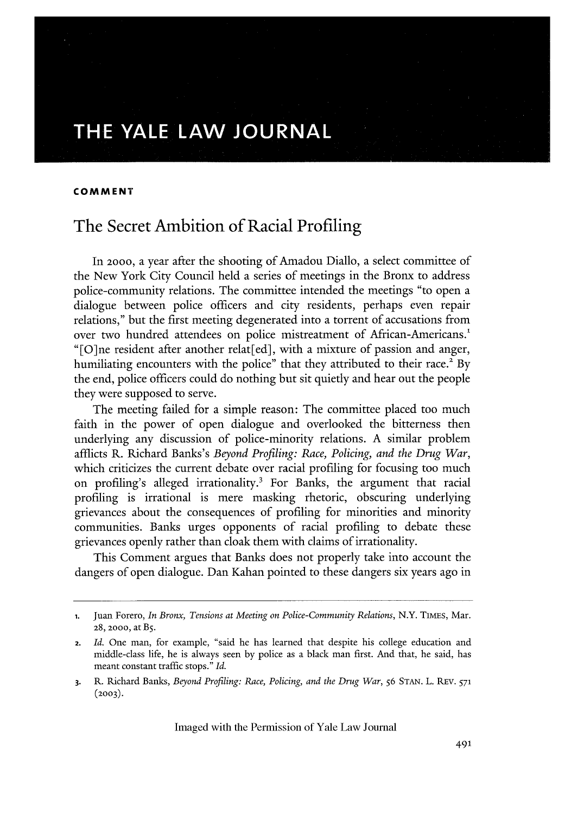# **THE YALE LAW JOURNAL**

#### **COMMENT**

# The Secret Ambition of Racial Profiling

In **2000,** a year after the shooting of Amadou Diallo, a select committee of the New York City Council held a series of meetings in the Bronx to address police-community relations. The committee intended the meetings "to open a dialogue between police officers and city residents, perhaps even repair relations," but the first meeting degenerated into a torrent of accusations from over two hundred attendees on police mistreatment of African-Americans.<sup>1</sup> "[O]ne resident after another relat[ed], with a mixture of passion and anger, humiliating encounters with the police" that they attributed to their race.<sup>2</sup> By the end, police officers could do nothing but sit quietly and hear out the people they were supposed to serve.

The meeting failed for a simple reason: The committee placed too much faith in the power of open dialogue and overlooked the bitterness then underlying any discussion of police-minority relations. A similar problem afflicts R. Richard Banks's *Beyond Profiling: Race, Policing, and the Drug War,* which criticizes the current debate over racial profiling for focusing too much on profiling's alleged irrationality.3 For Banks, the argument that racial profiling is irrational is mere masking rhetoric, obscuring underlying grievances about the consequences of profiling for minorities and minority communities. Banks urges opponents of racial profiling to debate these grievances openly rather than cloak them with claims of irrationality.

This Comment argues that Banks does not properly take into account the dangers of open dialogue. Dan Kahan pointed to these dangers six years ago in

<sup>1.</sup> Juan Forero, *In Bronx, Tensions at Meeting on Police-Community Relations*, N.Y. TIMES, Mar. **28, 200o,** at B5.

<sup>2.</sup> *Id.* One man, for example, "said he has learned that despite his college education and middle-class life, he is always seen by police as a black man first. And that, he said, has meant constant traffic stops." *Id.*

**<sup>3.</sup>** R. Richard Banks, *Beyond Profiling: Race, Policing, and the Drug War, 56* **STAN.** L. REV. <sup>571</sup> **(2003).**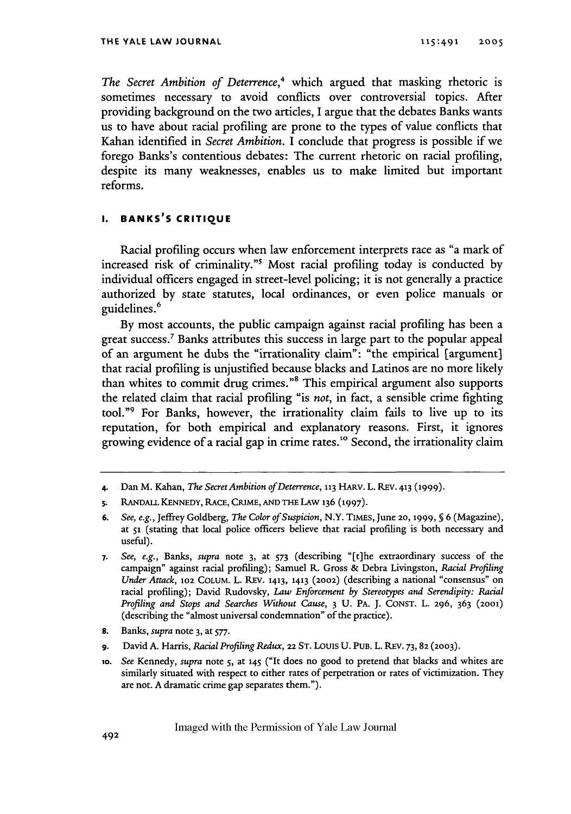*The Secret Ambition of Deterrence,4* which argued that masking rhetoric is sometimes necessary to avoid conflicts over controversial topics. After providing background on the two articles, I argue that the debates Banks wants us to have about racial profiling are prone to the types of value conflicts that Kahan identified in *Secret Ambition.* I conclude that progress is possible if we forego Banks's contentious debates: The current rhetoric on racial profiling, despite its many weaknesses, enables us to make limited but important reforms.

### **I. BANKS'S CRITIQUE**

Racial profiling occurs when law enforcement interprets race as "a mark of increased risk of criminality."<sup>5</sup> Most racial profiling today is conducted by individual officers engaged in street-level policing; it is not generally a practice authorized by state statutes, local ordinances, or even police manuals or guidelines.<sup>6</sup>

By most accounts, the public campaign against racial profiling has been a great success.7 Banks attributes this success in large part to the popular appeal of an argument he dubs the "irrationality claim": "the empirical [argument] that racial profiling is unjustified because blacks and Latinos are no more likely than whites to commit drug crimes."8 This empirical argument also supports the related claim that racial profiling "is *not,* in fact, a sensible crime fighting tool."9 For Banks, however, the irrationality claim fails to live up to its reputation, for both empirical and explanatory reasons. First, it ignores growing evidence of a racial gap in crime rates." Second, the irrationality claim

- **8.** Banks, *supra* note 3, at 577.
- **9.** David A. Harris, *Racial Profiling Redux,* 22 **ST.** Louis **U. PUB.** L. REV. **73,82 (2003).**
- **1o.** *See* Kennedy, *supra* note 5, at 145 ("It does no good to pretend that blacks and whites are similarly situated with respect to either rates of perpetration or rates of victimization. They are not. A dramatic crime gap separates them.").

**<sup>4.</sup>** Dan M. Kahan, *The Secret Ambition of Deterrence,* **113** HARv. L. REv. **413 (1999).**

**<sup>5.</sup>** RANDALL **KENNEDY,** RACE, CRIME, **AND** THE LAW **136 (1997).**

**<sup>6.</sup>** *See, e.g.,* Jeffrey Goldberg, *The Color of Suspicion,* N.Y. TIMES, June 20, **1999,** *§* 6 (Magazine), at **S1** (stating that local police officers believe that racial profiling is both necessary and useful).

**<sup>7.</sup>** *See, e.g., Banks, supra* note 3, at *573* (describing "[t]he extraordinary success of the campaign" against racial profiling); Samuel R. Gross & Debra Livingston, *Racial Profiling Under Attack,* **102 COLUM.** L. REV. **1413, 1413** (2002) (describing a national "consensus" on racial profiling); David Rudovsky, *Law Enforcement by Stereotypes and Serendipity: Racial Profiling and Stops and Searches Without Cause,* 3 **U.** PA. J. **CONST. L. 296,** 363 **(2001)** (describing the "almost universal condemnation" of the practice).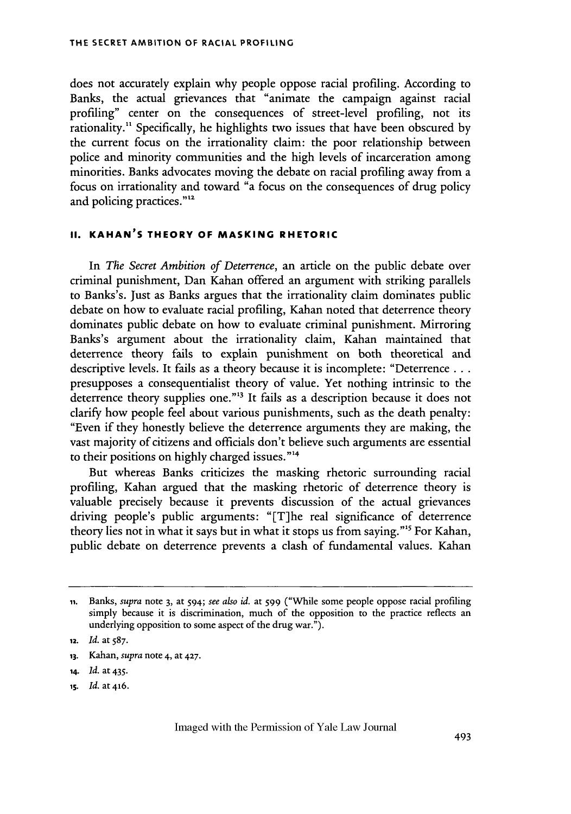does not accurately explain why people oppose racial profiling. According to Banks, the actual grievances that "animate the campaign against racial profiling" center on the consequences of street-level profiling, not its rationality." Specifically, he highlights two issues that have been obscured by the current focus on the irrationality claim: the poor relationship between police and minority communities and the high levels of incarceration among minorities. Banks advocates moving the debate on racial profiling away from a focus on irrationality and toward "a focus on the consequences of drug policy and policing practices."<sup>12</sup>

## **II. KAHAN'S THEORY OF MASKING RHETORIC**

In *The Secret Ambition of Deterrence,* an article on the public debate over criminal punishment, Dan Kahan offered an argument with striking parallels to Banks's. Just as Banks argues that the irrationality claim dominates public debate on how to evaluate racial profiling, Kahan noted that deterrence theory dominates public debate on how to evaluate criminal punishment. Mirroring Banks's argument about the irrationality claim, Kahan maintained that deterrence theory fails to explain punishment on both theoretical and descriptive levels. It fails as a theory because it is incomplete: "Deterrence... presupposes a consequentialist theory of value. Yet nothing intrinsic to the deterrence theory supplies one."<sup>13</sup> It fails as a description because it does not clarify how people feel about various punishments, such as the death penalty: "Even if they honestly believe the deterrence arguments they are making, the vast majority of citizens and officials don't believe such arguments are essential to their positions on highly charged issues."<sup>14</sup>

But whereas Banks criticizes the masking rhetoric surrounding racial profiling, Kahan argued that the masking rhetoric of deterrence theory is valuable precisely because it prevents discussion of the actual grievances driving people's public arguments: "[T]he real significance of deterrence theory lies not in what it says but in what it stops us from saying.""5 For Kahan, public debate on deterrence prevents a clash of fundamental values. Kahan

**ii.** Banks, *supra* note 3, at 594; *see also id.* at 599 ("While some people oppose racial profiling simply because it is discrimination, much of the opposition to the practice reflects an underlying opposition to some aspect of the drug war.").

**<sup>12.</sup>** *Id.* at 587.

**<sup>13.</sup>** Kahan, *supra* note 4, at 427.

*<sup>14.</sup> Id.* at 435.

**is.** *Id.* **at 416.**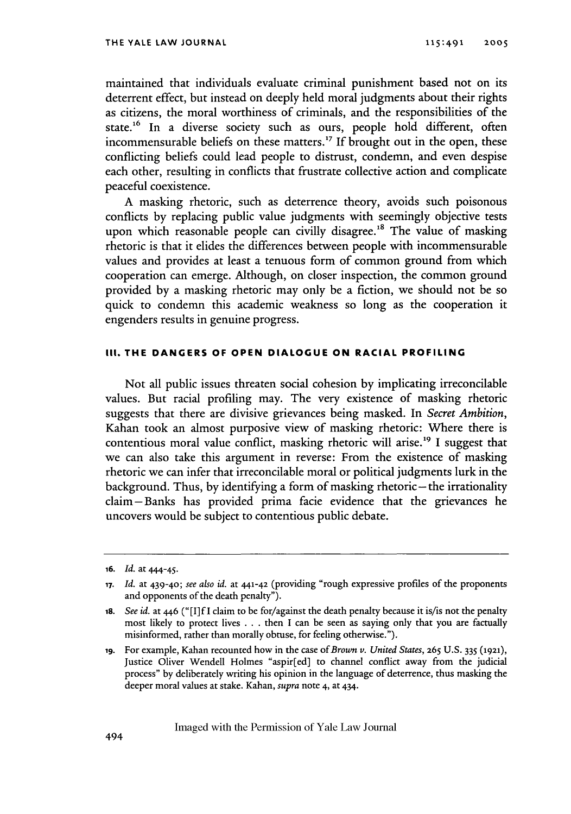maintained that individuals evaluate criminal punishment based not on its deterrent effect, but instead on deeply held moral judgments about their rights as citizens, the moral worthiness of criminals, and the responsibilities of the state.<sup>16</sup> In a diverse society such as ours, people hold different, often incommensurable beliefs on these matters.<sup>17</sup> If brought out in the open, these conflicting beliefs could lead people to distrust, condemn, and even despise each other, resulting in conflicts that frustrate collective action and complicate peaceful coexistence.

A masking rhetoric, such as deterrence theory, avoids such poisonous conflicts by replacing public value judgments with seemingly objective tests upon which reasonable people can civilly disagree.<sup>18</sup> The value of masking rhetoric is that it elides the differences between people with incommensurable values and provides at least a tenuous form of common ground from which cooperation can emerge. Although, on closer inspection, the common ground provided by a masking rhetoric may only be a fiction, we should not be so quick to condemn this academic weakness so long as the cooperation it engenders results in genuine progress.

#### **III. THE DANGERS OF OPEN DIALOGUE ON RACIAL PROFILING**

Not all public issues threaten social cohesion by implicating irreconcilable values. But racial profiling may. The very existence of masking rhetoric suggests that there are divisive grievances being masked. In *Secret Ambition,* Kahan took an almost purposive view of masking rhetoric: Where there is contentious moral value conflict, masking rhetoric will arise.<sup>19</sup> I suggest that we can also take this argument in reverse: From the existence of masking rhetoric we can infer that irreconcilable moral or political judgments lurk in the background. Thus, by identifying a form of masking rhetoric—the irrationality claim-Banks has provided prima facie evidence that the grievances he uncovers would be subject to contentious public debate.

**<sup>16.</sup>** *Id.* at 444-45.

*<sup>17.</sup> Id.* at 439-40; see also *id.* at 441-42 (providing "rough expressive profiles of the proponents and opponents of the death penalty").

**<sup>18.</sup>** *See id.* at 446 ("[I]f I claim to be for/against the death penalty because it is/is not the penalty most likely to protect lives . . . then I can be seen as saying only that you are factually misinformed, rather than morally obtuse, for feeling otherwise.").

**ig.** For example, Kahan recounted how in the case of *Brown v. United States,* **265** U.S. 335 (1921), Justice Oliver Wendell Holmes "aspir[ed] to channel conflict away from the judicial process" by deliberately writing his opinion in the language of deterrence, thus masking the deeper moral values at stake. Kahan, *supra* note 4, at 434.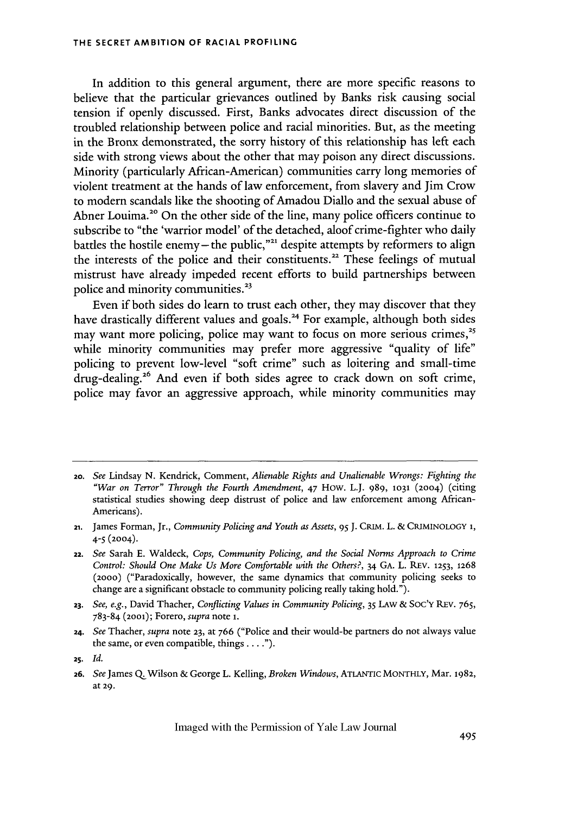In addition to this general argument, there are more specific reasons to believe that the particular grievances outlined by Banks risk causing social tension if openly discussed. First, Banks advocates direct discussion of the troubled relationship between police and racial minorities. But, as the meeting in the Bronx demonstrated, the sorry history of this relationship has left each side with strong views about the other that may poison any direct discussions. Minority (particularly African-American) communities carry long memories of violent treatment at the hands of law enforcement, from slavery and Jim Crow to modern scandals like the shooting of Amadou Diallo and the sexual abuse of Abner Louima.<sup>20</sup> On the other side of the line, many police officers continue to subscribe to "the 'warrior model' of the detached, aloof crime-fighter who daily battles the hostile enemy-the public,"<sup>21</sup> despite attempts by reformers to align the interests of the police and their constituents.<sup>22</sup> These feelings of mutual mistrust have already impeded recent efforts to build partnerships between police and minority communities.<sup>23</sup>

Even if both sides do learn to trust each other, they may discover that they have drastically different values and goals.<sup>24</sup> For example, although both sides may want more policing, police may want to focus on more serious crimes,<sup>25</sup> while minority communities may prefer more aggressive "quality of life" policing to prevent low-level "soft crime" such as loitering and small-time drug-dealing.<sup>26</sup> And even if both sides agree to crack down on soft crime, police may favor an aggressive approach, while minority communities may

**24.** *See* Thacher, *supra* note **23,** at 766 ("Police and their would-be partners do not always value the same, or even compatible, things  $\dots$ .").

**<sup>20.</sup>** *See* Lindsay N. Kendrick, Comment, *Alienable Rights and Unalienable Wrongs: Fighting the "War on Terror" Through the Fourth Amendment,* 47 How. L.J. 989, **1031** (2004) (citing statistical studies showing deep distrust of police and law enforcement among African-Americans).

**<sup>21.</sup>** James Forman, Jr., *Community Policing and Youth as Assets, 95* J. CRIM. L. & CRIMINOLOGY **1,** *4-5* (2004).

**<sup>22.</sup>** *See* Sarah **E.** Waldeck, *Cops, Community Policing, and the Social Norms Approach to Crime Control: Should One Make Us More Comfortable with the Others?,* 34 GA. L. REV. **1253,** 1268 (2000) ("Paradoxically, however, the same dynamics that community policing seeks to change are a significant obstacle to community policing really taking hold.").

**<sup>23.</sup>** *See, e.g.,* David Thacher, *Conflicting Values in Community Policing,* 35 **LAW** & Soc'y REv. 765, 783-84 (2oo1); Forero, *supra* note **i.**

**<sup>2</sup>S.** *Id.*

**<sup>26.</sup>** *See* James **Q.** Wilson & George L. Kelling, *Broken Windows,* ATLANTIC MONTHLY, Mar. 1982, at 29.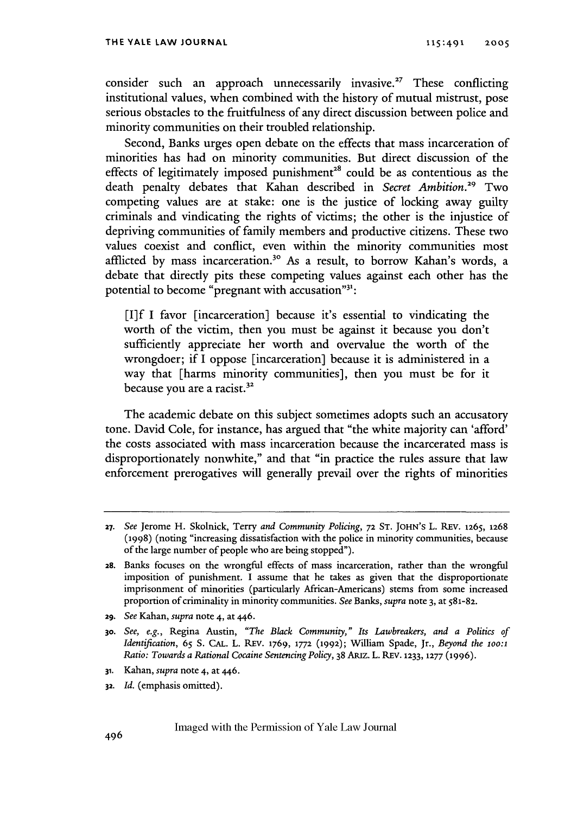consider such an approach unnecessarily invasive.<sup>27</sup> These conflicting institutional values, when combined with the history of mutual mistrust, pose serious obstacles to the fruitfulness of any direct discussion between police and minority communities on their troubled relationship.

Second, Banks urges open debate on the effects that mass incarceration of minorities has had on minority communities. But direct discussion of the effects of legitimately imposed punishment<sup>28</sup> could be as contentious as the death penalty debates that Kahan described in *Secret Ambition*.<sup>29</sup> Two competing values are at stake: one is the justice of locking away guilty criminals and vindicating the rights of victims; the other is the injustice of depriving communities of family members and productive citizens. These two values coexist and conflict, even within the minority communities most afflicted by mass incarceration.<sup>30</sup> As a result, to borrow Kahan's words, a debate that directly pits these competing values against each other has the potential to become "pregnant with accusation"<sup>31</sup>:

**[I]f** I favor [incarceration] because it's essential to vindicating the worth of the victim, then you must be against it because you don't sufficiently appreciate her worth and overvalue the worth of the wrongdoer; if I oppose [incarceration] because it is administered in a way that [harms minority communities], then you must be for it because you are a racist.<sup>32</sup>

The academic debate on this subject sometimes adopts such an accusatory tone. David Cole, for instance, has argued that "the white majority can 'afford' the costs associated with mass incarceration because the incarcerated mass is disproportionately nonwhite," and that "in practice the rules assure that law enforcement prerogatives will generally prevail over the rights of minorities

29. *See* Kahan, *supra* note 4, at 446.

- **31.** Kahan, *supra* note 4, at 446.
- **32.** *Id.* (emphasis omitted).

*<sup>27.</sup> See* Jerome H. Skolnick, Terry *and Community Policing,* **72 ST.** JOHN'S L. REV. 1265, 1268 **(1998)** (noting "increasing dissatisfaction with the police in minority communities, because of the large number of people who are being stopped").

**<sup>28.</sup>** Banks focuses on the wrongful effects of mass incarceration, rather than the wrongful imposition of punishment. I assume that he takes as given that the disproportionate imprisonment of minorities (particularly African-Americans) stems from some increased proportion of criminality in minority communities. *See* Banks, *supra* note 3, at S81-82.

**<sup>30.</sup>** *See, e.g.,* Regina Austin, *"The Black Community," Its Lawbreakers, and a Politics of Identification,* 65 S. CAL. L. REv. 1769, **1772** (1992); William Spade, Jr., *Beyond the* 1oo:1 *Ratio: Towards a Rational Cocaine Sentencing Policy,* 38 ARiz. L. REV. **1233, 1277** (1996).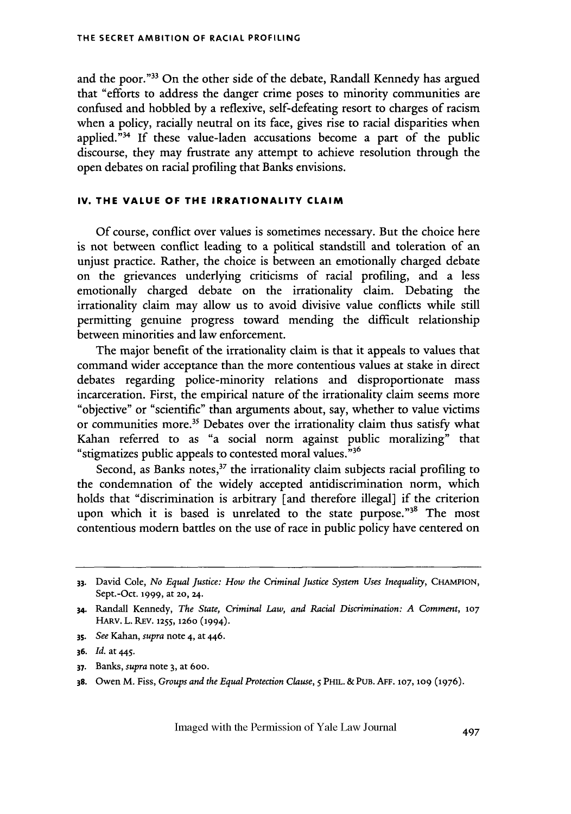and the poor."<sup>33</sup> On the other side of the debate, Randall Kennedy has argued that "efforts to address the danger crime poses to minority communities are confused and hobbled by a reflexive, self-defeating resort to charges of racism when a policy, racially neutral on its face, gives rise to racial disparities when applied."<sup>34</sup> If these value-laden accusations become a part of the public discourse, they may frustrate any attempt to achieve resolution through the open debates on racial profiling that Banks envisions.

### **IV. THE VALUE OF THE IRRATIONALITY CLAIM**

Of course, conflict over values is sometimes necessary. But the choice here is not between conflict leading to a political standstill and toleration of an unjust practice. Rather, the choice is between an emotionally charged debate on the grievances underlying criticisms of racial profiling, and a less emotionally charged debate on the irrationality claim. Debating the irrationality claim may allow us to avoid divisive value conflicts while still permitting genuine progress toward mending the difficult relationship between minorities and law enforcement.

The major benefit of the irrationality claim is that it appeals to values that command wider acceptance than the more contentious values at stake in direct debates regarding police-minority relations and disproportionate mass incarceration. First, the empirical nature of the irrationality claim seems more "objective" or "scientific" than arguments about, say, whether to value victims or communities more.<sup>35</sup> Debates over the irrationality claim thus satisfy what Kahan referred to as "a social norm against public moralizing" that "stigmatizes public appeals to contested moral values." <sup>36</sup>

Second, as Banks notes, $3^7$  the irrationality claim subjects racial profiling to the condemnation of the widely accepted antidiscrimination norm, which holds that "discrimination is arbitrary [and therefore illegal] if the criterion upon which it is based is unrelated to the state purpose."<sup>38</sup> The most contentious modem battles on the use of race in public policy have centered on

**35.** *See* Kahan, *supra* note 4, at 446.

- **37.** Banks, *supra* note 3, at 6oo.
- **38.** Owen M. Fiss, *Groups and the Equal Protection Clause, 5* PHIL. & PUB. **AFF. 107, 109 (1976).**

**<sup>33.</sup>** David Cole, *No Equal Justice: How the Criminal Justice System Uses Inequality,* CHAMPION, Sept.-Oct. **1999,** at **20,** 24.

**<sup>34.</sup>** Randall Kennedy, *The State, Criminal Law, and Racial Discrimination: A Comment,* **<sup>107</sup> HARV. L.** REV. 1255, 126o (1994).

**<sup>36.</sup>** *Id.* at 445.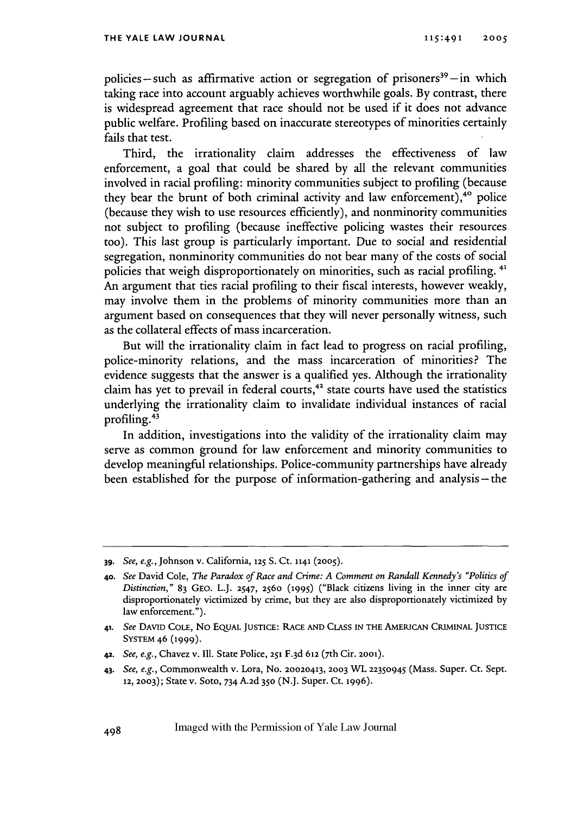policies-such as affirmative action or segregation of prisoners<sup>39</sup>-in which taking race into account arguably achieves worthwhile goals. By contrast, there is widespread agreement that race should not be used if it does not advance public welfare. Profiling based on inaccurate stereotypes of minorities certainly fails that test.

Third, the irrationality claim addresses the effectiveness of law enforcement, a goal that could be shared by all the relevant communities involved in racial profiling: minority communities subject to profiling (because they bear the brunt of both criminal activity and law enforcement),<sup>40</sup> police (because they wish to use resources efficiently), and nonminority communities not subject to profiling (because ineffective policing wastes their resources too). This last group is particularly important. Due to social and residential segregation, nonminority communities do not bear many of the costs of social policies that weigh disproportionately on minorities, such as racial profiling.<sup>41</sup> An argument that ties racial profiling to their fiscal interests, however weakly, may involve them in the problems of minority communities more than an argument based on consequences that they will never personally witness, such as the collateral effects of mass incarceration.

But will the irrationality claim in fact lead to progress on racial profiling, police-minority relations, and the mass incarceration of minorities? The evidence suggests that the answer is a qualified yes. Although the irrationality claim has yet to prevail in federal courts, $42$  state courts have used the statistics underlying the irrationality claim to invalidate individual instances of racial profiling. <sup>43</sup>

In addition, investigations into the validity of the irrationality claim may serve as common ground for law enforcement and minority communities to develop meaningful relationships. Police-community partnerships have already been established for the purpose of information-gathering and analysis-the

**<sup>39.</sup>** *See, e.g.,* Johnson v. California, **125 S.** Ct. 1141 **(2005).**

**<sup>40.</sup>** *See* David Cole, *The Paradox of Race and Crime: A Comment on Randall Kennedy's "Politics of Distinction,"* 83 GEO. L.J. 2547, 2560 **(1995)** ("Black citizens living in the inner city are disproportionately victimized by crime, but they are also disproportionately victimized by law enforcement.").

**<sup>41.</sup>** *See* **DAVID COLE,** No EQUAL **JUSTICE:** RACE **AND CLASS IN THE** AMERICAN CRIMINAL **JUSTICE SYSTEM** 46 **(1999).**

<sup>42.</sup> *See, e.g.,* Chavez v. **1Il.** State Police, **251** F.3d **612** (7th Cir. **2001).**

*<sup>43.</sup> See, e.g.,* Commonwealth v. Lora, No. 20020413, **2003** WL **22350945** (Mass. Super. Ct. Sept. **12, 2003);** State v. Soto, 734 A.2d **350** (N.J. Super. Ct. **1996).**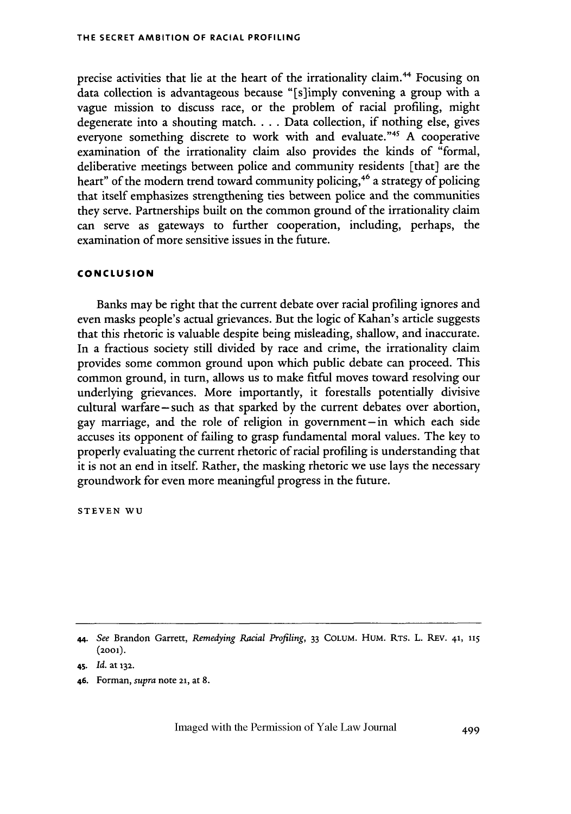precise activities that lie at the heart of the irrationality claim.<sup>44</sup> Focusing on data collection is advantageous because "[s]imply convening a group with a vague mission to discuss race, or the problem of racial profiling, might degenerate into a shouting match.... Data collection, if nothing else, gives everyone something discrete to work with and evaluate."<sup>45</sup> A cooperative examination of the irrationality claim also provides the kinds of "formal, deliberative meetings between police and community residents [that] are the heart" of the modern trend toward community policing,<sup>46</sup> a strategy of policing that itself emphasizes strengthening ties between police and the communities they serve. Partnerships built on the common ground of the irrationality claim can serve as gateways to further cooperation, including, perhaps, the examination of more sensitive issues in the future.

#### **CONCLUSION**

Banks may be right that the current debate over racial profiling ignores and even masks people's actual grievances. But the logic of Kahan's article suggests that this rhetoric is valuable despite being misleading, shallow, and inaccurate. In a fractious society still divided by race and crime, the irrationality claim provides some common ground upon which public debate can proceed. This common ground, in turn, allows us to make fitful moves toward resolving our underlying grievances. More importantly, it forestalls potentially divisive cultural warfare-such as that sparked by the current debates over abortion, gay marriage, and the role of religion in government-in which each side accuses its opponent of failing to grasp fundamental moral values. The key to properly evaluating the current rhetoric of racial profiling is understanding that it is not an end in itself. Rather, the masking rhetoric we use lays the necessary groundwork for even more meaningful progress in the future.

**STEVEN WU**

<sup>44.</sup> *See* Brandon Garrett, *Remedying Racial Profiling,* 33 COLUM. HUM. RTs. L. REV. **41, <sup>115</sup>** (2ool).

**<sup>45.</sup>** *Id.* at **132.**

<sup>46.</sup> Forman, *supra* note 21, at 8.